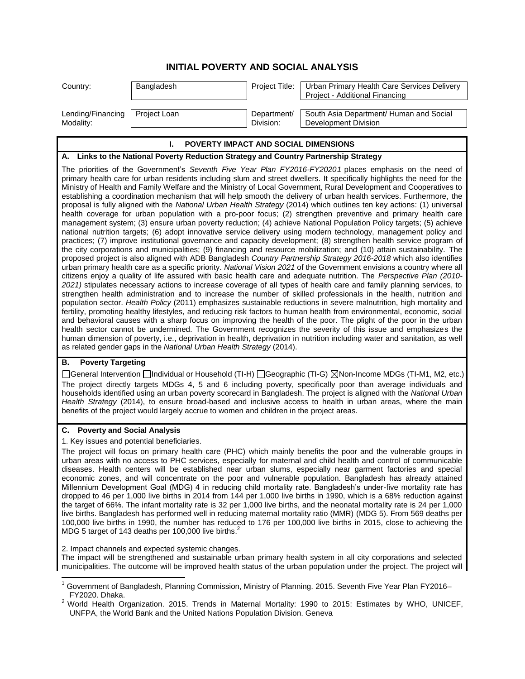## **INITIAL POVERTY AND SOCIAL ANALYSIS**

| Country:          | Bangladesh   | Project Title: | Urban Primary Health Care Services Delivery<br>Project - Additional Financing |
|-------------------|--------------|----------------|-------------------------------------------------------------------------------|
| Lending/Financing | Project Loan | Department/    | South Asia Department/ Human and Social                                       |
| Modality:         |              | Division:      | Development Division                                                          |

## **I. POVERTY IMPACT AND SOCIAL DIMENSIONS**

#### **A. Links to the National Poverty Reduction Strategy and Country Partnership Strategy**

The priorities of the Government's *Seventh Five Year Plan FY2016-FY20201* places emphasis on the need of primary health care for urban residents including slum and street dwellers. It specifically highlights the need for the Ministry of Health and Family Welfare and the Ministry of Local Government, Rural Development and Cooperatives to establishing a coordination mechanism that will help smooth the delivery of urban health services. Furthermore, the proposal is fully aligned with the *National Urban Health Strategy* (2014) which outlines ten key actions: (1) universal health coverage for urban population with a pro-poor focus; (2) strengthen preventive and primary health care management system; (3) ensure urban poverty reduction; (4) achieve National Population Policy targets; (5) achieve national nutrition targets; (6) adopt innovative service delivery using modern technology, management policy and practices; (7) improve institutional governance and capacity development; (8) strengthen health service program of the city corporations and municipalities; (9) financing and resource mobilization; and (10) attain sustainability. The proposed project is also aligned with ADB Bangladesh *Country Partnership Strategy 2016-2018* which also identifies urban primary health care as a specific priority. *National Vision 2021* of the Government envisions a country where all citizens enjoy a quality of life assured with basic health care and adequate nutrition. The *Perspective Plan (2010- 2021)* stipulates necessary actions to increase coverage of all types of health care and family planning services, to strengthen health administration and to increase the number of skilled professionals in the health, nutrition and population sector. *Health Policy* (2011) emphasizes sustainable reductions in severe malnutrition, high mortality and fertility, promoting healthy lifestyles, and reducing risk factors to human health from environmental, economic, social and behavioral causes with a sharp focus on improving the health of the poor. The plight of the poor in the urban health sector cannot be undermined. The Government recognizes the severity of this issue and emphasizes the human dimension of poverty, i.e., deprivation in health, deprivation in nutrition including water and sanitation, as well as related gender gaps in the *National Urban Health Strategy* (2014).

## **B. Poverty Targeting**

 $\overline{a}$ 

General Intervention Individual or Household (TI-H) Geographic (TI-G) Non-Income MDGs (TI-M1, M2, etc.) The project directly targets MDGs 4, 5 and 6 including poverty, specifically poor than average individuals and households identified using an urban poverty scorecard in Bangladesh. The project is aligned with the *National Urban Health Strategy* (2014), to ensure broad-based and inclusive access to health in urban areas, where the main benefits of the project would largely accrue to women and children in the project areas.

### **C. Poverty and Social Analysis**

1. Key issues and potential beneficiaries.

The project will focus on primary health care (PHC) which mainly benefits the poor and the vulnerable groups in urban areas with no access to PHC services, especially for maternal and child health and control of communicable diseases. Health centers will be established near urban slums, especially near garment factories and special economic zones, and will concentrate on the poor and vulnerable population. Bangladesh has already attained Millennium Development Goal (MDG) 4 in reducing child mortality rate. Bangladesh's under-five mortality rate has dropped to 46 per 1,000 live births in 2014 from 144 per 1,000 live births in 1990, which is a 68% reduction against the target of 66%. The infant mortality rate is 32 per 1,000 live births, and the neonatal mortality rate is 24 per 1,000 live births. Bangladesh has performed well in reducing maternal mortality ratio (MMR) (MDG 5). From 569 deaths per 100,000 live births in 1990, the number has reduced to 176 per 100,000 live births in 2015, close to achieving the MDG 5 target of 143 deaths per 100,000 live births. $^{2}$ 

2. Impact channels and expected systemic changes.

The impact will be strengthened and sustainable urban primary health system in all city corporations and selected municipalities. The outcome will be improved health status of the urban population under the project. The project will

<sup>1</sup> Government of Bangladesh, Planning Commission, Ministry of Planning. 2015. Seventh Five Year Plan FY2016– FY2020. Dhaka.

<sup>&</sup>lt;sup>2</sup> World Health Organization. 2015. Trends in Maternal Mortality: 1990 to 2015: Estimates by WHO, UNICEF, UNFPA, the World Bank and the United Nations Population Division. Geneva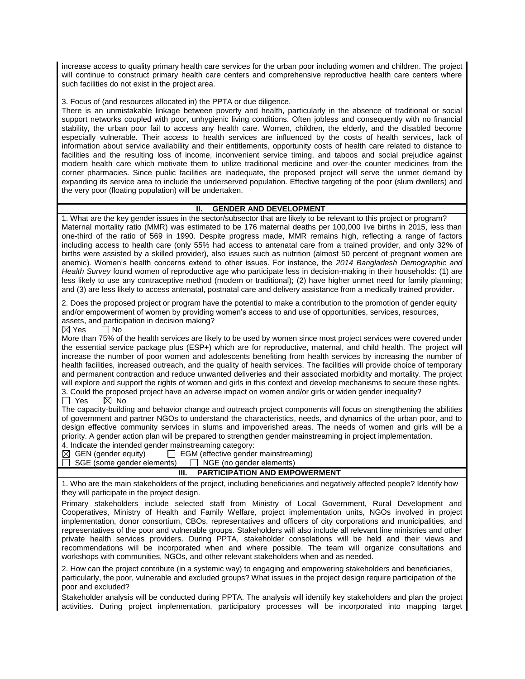increase access to quality primary health care services for the urban poor including women and children. The project will continue to construct primary health care centers and comprehensive reproductive health care centers where such facilities do not exist in the project area.

3. Focus of (and resources allocated in) the PPTA or due diligence.

There is an unmistakable linkage between poverty and health, particularly in the absence of traditional or social support networks coupled with poor, unhygienic living conditions. Often jobless and consequently with no financial stability, the urban poor fail to access any health care. Women, children, the elderly, and the disabled become especially vulnerable. Their access to health services are influenced by the costs of health services, lack of information about service availability and their entitlements, opportunity costs of health care related to distance to facilities and the resulting loss of income, inconvenient service timing, and taboos and social prejudice against modern health care which motivate them to utilize traditional medicine and over-the counter medicines from the corner pharmacies. Since public facilities are inadequate, the proposed project will serve the unmet demand by expanding its service area to include the underserved population. Effective targeting of the poor (slum dwellers) and the very poor (floating population) will be undertaken.

#### **II. GENDER AND DEVELOPMENT**

1. What are the key gender issues in the sector/subsector that are likely to be relevant to this project or program? Maternal mortality ratio (MMR) was estimated to be 176 maternal deaths per 100,000 live births in 2015, less than one-third of the ratio of 569 in 1990. Despite progress made, MMR remains high, reflecting a range of factors including access to health care (only 55% had access to antenatal care from a trained provider, and only 32% of births were assisted by a skilled provider), also issues such as nutrition (almost 50 percent of pregnant women are anemic). Women's health concerns extend to other issues. For instance, the *2014 Bangladesh Demographic and Health Survey* found women of reproductive age who participate less in decision-making in their households: (1) are less likely to use any contraceptive method (modern or traditional); (2) have higher unmet need for family planning; and (3) are less likely to access antenatal, postnatal care and delivery assistance from a medically trained provider.

2. Does the proposed project or program have the potential to make a contribution to the promotion of gender equity and/or empowerment of women by providing women's access to and use of opportunities, services, resources, assets, and participation in decision making?<br> $\boxtimes$  Yes  $\qquad \square$  No

 $\Box$  No

More than 75% of the health services are likely to be used by women since most project services were covered under the essential service package plus (ESP+) which are for reproductive, maternal, and child health. The project will increase the number of poor women and adolescents benefiting from health services by increasing the number of health facilities, increased outreach, and the quality of health services. The facilities will provide choice of temporary and permanent contraction and reduce unwanted deliveries and their associated morbidity and mortality. The project will explore and support the rights of women and girls in this context and develop mechanisms to secure these rights. 3. Could the proposed project have an adverse impact on women and/or girls or widen gender inequality?

 $\Box$  Yes  $\boxtimes$  No

The capacity-building and behavior change and outreach project components will focus on strengthening the abilities of government and partner NGOs to understand the characteristics, needs, and dynamics of the urban poor, and to design effective community services in slums and impoverished areas. The needs of women and girls will be a priority. A gender action plan will be prepared to strengthen gender mainstreaming in project implementation. 4. Indicate the intended gender mainstreaming category:

 $\boxtimes$  GEN (gender equity)  $\Box$  EGM (effective gender mainstreaming)  $\Box$  SGE (some gender elements)  $\Box$  NGE (no gender elements)  $\Box$  NGE (no gender elements)

# **III. PARTICIPATION AND EMPOWERMENT**

1. Who are the main stakeholders of the project, including beneficiaries and negatively affected people? Identify how they will participate in the project design.

Primary stakeholders include selected staff from Ministry of Local Government, Rural Development and Cooperatives, Ministry of Health and Family Welfare, project implementation units, NGOs involved in project implementation, donor consortium, CBOs, representatives and officers of city corporations and municipalities, and representatives of the poor and vulnerable groups. Stakeholders will also include all relevant line ministries and other private health services providers. During PPTA, stakeholder consolations will be held and their views and recommendations will be incorporated when and where possible. The team will organize consultations and workshops with communities, NGOs, and other relevant stakeholders when and as needed.

2. How can the project contribute (in a systemic way) to engaging and empowering stakeholders and beneficiaries, particularly, the poor, vulnerable and excluded groups? What issues in the project design require participation of the poor and excluded?

Stakeholder analysis will be conducted during PPTA. The analysis will identify key stakeholders and plan the project activities. During project implementation, participatory processes will be incorporated into mapping target